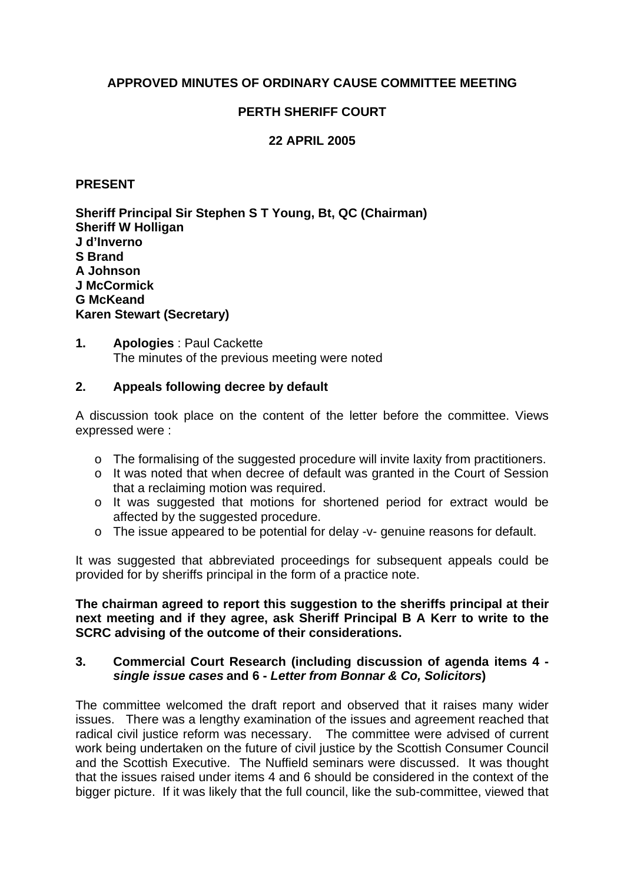# **APPROVED MINUTES OF ORDINARY CAUSE COMMITTEE MEETING**

# **PERTH SHERIFF COURT**

# **22 APRIL 2005**

#### **PRESENT**

**Sheriff Principal Sir Stephen S T Young, Bt, QC (Chairman) Sheriff W Holligan J d'Inverno S Brand A Johnson J McCormick G McKeand Karen Stewart (Secretary)**

**1. Apologies** : Paul Cackette The minutes of the previous meeting were noted

## **2. Appeals following decree by default**

A discussion took place on the content of the letter before the committee. Views expressed were :

- o The formalising of the suggested procedure will invite laxity from practitioners.
- o It was noted that when decree of default was granted in the Court of Session that a reclaiming motion was required.
- o It was suggested that motions for shortened period for extract would be affected by the suggested procedure.
- o The issue appeared to be potential for delay -v- genuine reasons for default.

It was suggested that abbreviated proceedings for subsequent appeals could be provided for by sheriffs principal in the form of a practice note.

**The chairman agreed to report this suggestion to the sheriffs principal at their next meeting and if they agree, ask Sheriff Principal B A Kerr to write to the SCRC advising of the outcome of their considerations.** 

### **3. Commercial Court Research (including discussion of agenda items 4**  *single issue cases* **and 6 -** *Letter from Bonnar & Co, Solicitors***)**

The committee welcomed the draft report and observed that it raises many wider issues. There was a lengthy examination of the issues and agreement reached that radical civil justice reform was necessary. The committee were advised of current work being undertaken on the future of civil justice by the Scottish Consumer Council and the Scottish Executive. The Nuffield seminars were discussed. It was thought that the issues raised under items 4 and 6 should be considered in the context of the bigger picture. If it was likely that the full council, like the sub-committee, viewed that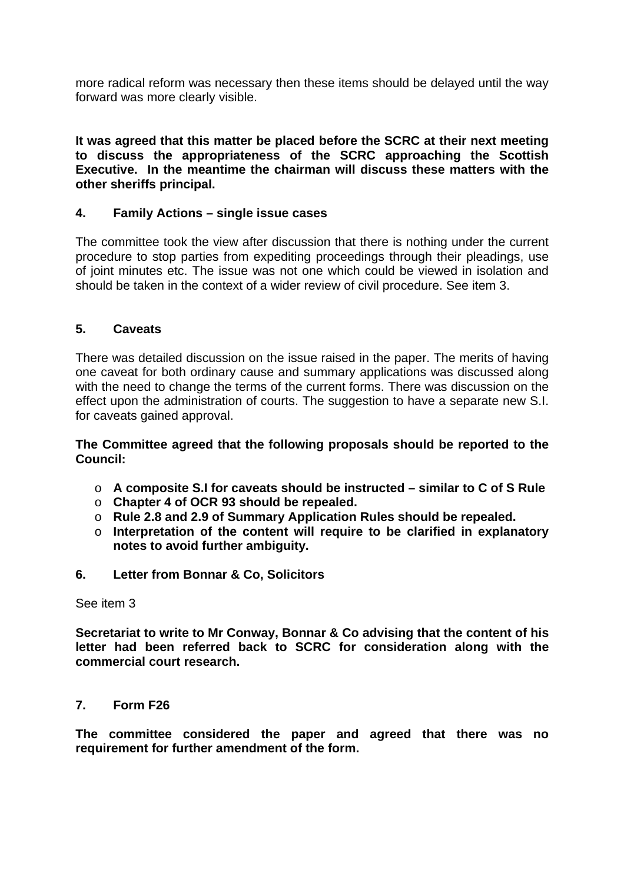more radical reform was necessary then these items should be delayed until the way forward was more clearly visible.

**It was agreed that this matter be placed before the SCRC at their next meeting to discuss the appropriateness of the SCRC approaching the Scottish Executive. In the meantime the chairman will discuss these matters with the other sheriffs principal.** 

## **4. Family Actions – single issue cases**

The committee took the view after discussion that there is nothing under the current procedure to stop parties from expediting proceedings through their pleadings, use of joint minutes etc. The issue was not one which could be viewed in isolation and should be taken in the context of a wider review of civil procedure. See item 3.

### **5. Caveats**

There was detailed discussion on the issue raised in the paper. The merits of having one caveat for both ordinary cause and summary applications was discussed along with the need to change the terms of the current forms. There was discussion on the effect upon the administration of courts. The suggestion to have a separate new S.I. for caveats gained approval.

**The Committee agreed that the following proposals should be reported to the Council:** 

- o **A composite S.I for caveats should be instructed similar to C of S Rule**
- o **Chapter 4 of OCR 93 should be repealed.**
- o **Rule 2.8 and 2.9 of Summary Application Rules should be repealed.**
- o **Interpretation of the content will require to be clarified in explanatory notes to avoid further ambiguity.**
- **6. Letter from Bonnar & Co, Solicitors**

See item 3

**Secretariat to write to Mr Conway, Bonnar & Co advising that the content of his letter had been referred back to SCRC for consideration along with the commercial court research.** 

### **7. Form F26**

**The committee considered the paper and agreed that there was no requirement for further amendment of the form.**